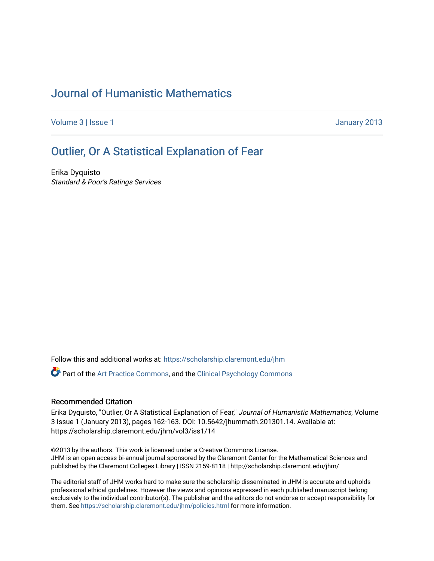## [Journal of Humanistic Mathematics](https://scholarship.claremont.edu/jhm)

[Volume 3](https://scholarship.claremont.edu/jhm/vol3) | [Issue 1](https://scholarship.claremont.edu/jhm/vol3/iss1) January 2013

# [Outlier, Or A Statistical Explanation of Fear](https://scholarship.claremont.edu/jhm/vol3/iss1/14)

Erika Dyquisto Standard & Poor's Ratings Services

Follow this and additional works at: [https://scholarship.claremont.edu/jhm](https://scholarship.claremont.edu/jhm?utm_source=scholarship.claremont.edu%2Fjhm%2Fvol3%2Fiss1%2F14&utm_medium=PDF&utm_campaign=PDFCoverPages)

Part of the [Art Practice Commons](http://network.bepress.com/hgg/discipline/509?utm_source=scholarship.claremont.edu%2Fjhm%2Fvol3%2Fiss1%2F14&utm_medium=PDF&utm_campaign=PDFCoverPages), and the [Clinical Psychology Commons](http://network.bepress.com/hgg/discipline/406?utm_source=scholarship.claremont.edu%2Fjhm%2Fvol3%2Fiss1%2F14&utm_medium=PDF&utm_campaign=PDFCoverPages) 

#### Recommended Citation

Erika Dyquisto, "Outlier, Or A Statistical Explanation of Fear," Journal of Humanistic Mathematics, Volume 3 Issue 1 (January 2013), pages 162-163. DOI: 10.5642/jhummath.201301.14. Available at: https://scholarship.claremont.edu/jhm/vol3/iss1/14

©2013 by the authors. This work is licensed under a Creative Commons License. JHM is an open access bi-annual journal sponsored by the Claremont Center for the Mathematical Sciences and published by the Claremont Colleges Library | ISSN 2159-8118 | http://scholarship.claremont.edu/jhm/

The editorial staff of JHM works hard to make sure the scholarship disseminated in JHM is accurate and upholds professional ethical guidelines. However the views and opinions expressed in each published manuscript belong exclusively to the individual contributor(s). The publisher and the editors do not endorse or accept responsibility for them. See<https://scholarship.claremont.edu/jhm/policies.html> for more information.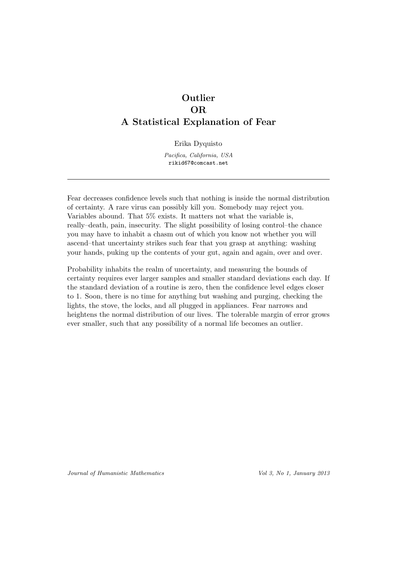### **Outlier** OR A Statistical Explanation of Fear

Erika Dyquisto

Pacifica, California, USA rikid67@comcast.net

Fear decreases confidence levels such that nothing is inside the normal distribution of certainty. A rare virus can possibly kill you. Somebody may reject you. Variables abound. That 5% exists. It matters not what the variable is, really–death, pain, insecurity. The slight possibility of losing control–the chance you may have to inhabit a chasm out of which you know not whether you will ascend–that uncertainty strikes such fear that you grasp at anything: washing your hands, puking up the contents of your gut, again and again, over and over.

Probability inhabits the realm of uncertainty, and measuring the bounds of certainty requires ever larger samples and smaller standard deviations each day. If the standard deviation of a routine is zero, then the confidence level edges closer to 1. Soon, there is no time for anything but washing and purging, checking the lights, the stove, the locks, and all plugged in appliances. Fear narrows and heightens the normal distribution of our lives. The tolerable margin of error grows ever smaller, such that any possibility of a normal life becomes an outlier.

Journal of Humanistic Mathematics Vol 3, No 1, January 2013